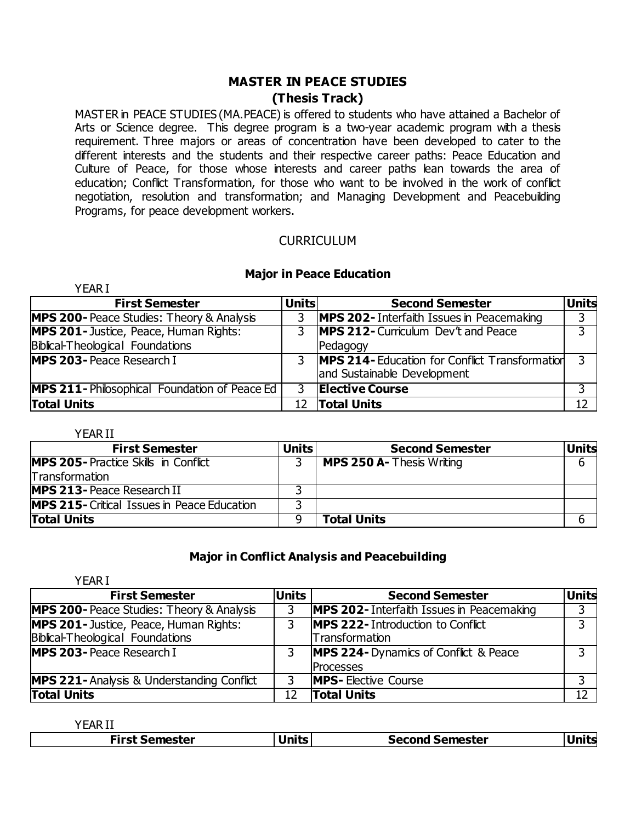### **MASTER IN PEACE STUDIES (Thesis Track)**

MASTER in PEACE STUDIES (MA.PEACE) is offered to students who have attained a Bachelor of Arts or Science degree. This degree program is a two-year academic program with a thesis requirement. Three majors or areas of concentration have been developed to cater to the different interests and the students and their respective career paths: Peace Education and Culture of Peace, for those whose interests and career paths lean towards the area of education; Conflict Transformation, for those who want to be involved in the work of conflict negotiation, resolution and transformation; and Managing Development and Peacebuilding Programs, for peace development workers.

#### **CURRICULUM**

#### **Major in Peace Education**

| <b>YEARI</b>                                        |              |                                                                                      |              |
|-----------------------------------------------------|--------------|--------------------------------------------------------------------------------------|--------------|
| <b>First Semester</b>                               | <b>Units</b> | <b>Second Semester</b>                                                               | <b>Units</b> |
| <b>MPS 200-</b> Peace Studies: Theory & Analysis    | 3            | <b>MPS 202-</b> Interfaith Issues in Peacemaking                                     | 3            |
| <b>MPS 201-</b> Justice, Peace, Human Rights:       | 3            | MPS 212- Curriculum Dev't and Peace                                                  | 3            |
| Biblical-Theological Foundations                    |              | Pedagogy                                                                             |              |
| <b>MPS 203-Peace Research I</b>                     | 3            | <b>MPS 214- Education for Conflict Transformation</b><br>and Sustainable Development | 3            |
| <b>MPS 211-Philosophical Foundation of Peace Ed</b> | 3            | <b>Elective Course</b>                                                               | 3            |
| <b>Total Units</b>                                  | 12           | <b>Total Units</b>                                                                   | 12           |

YEAR II

| <b>First Semester</b>                              | <b>Units</b> | <b>Second Semester</b>           | <b>Units</b> |
|----------------------------------------------------|--------------|----------------------------------|--------------|
| <b>IMPS 205-Practice Skills in Conflict</b>        |              | <b>MPS 250 A- Thesis Writing</b> | b            |
| <b>Transformation</b>                              |              |                                  |              |
| <b>MPS 213- Peace Research II</b>                  |              |                                  |              |
| <b>MPS 215-</b> Critical Issues in Peace Education |              |                                  |              |
| <b>Total Units</b>                                 |              | <b>Total Units</b>               |              |

#### **Major in Conflict Analysis and Peacebuilding**

| <b>YEAR I</b>                                        |              |                                              |              |
|------------------------------------------------------|--------------|----------------------------------------------|--------------|
| <b>First Semester</b>                                | <b>Units</b> | <b>Second Semester</b>                       | <b>Units</b> |
| <b>MPS 200-</b> Peace Studies: Theory & Analysis     |              | MPS 202- Interfaith Issues in Peacemaking    | 3            |
| MPS 201- Justice, Peace, Human Rights:               |              | <b>MPS 222- Introduction to Conflict</b>     | 3            |
| Biblical-Theological Foundations                     |              | Transformation                               |              |
| <b>MPS 203-Peace Research I</b>                      |              | <b>MPS 224-</b> Dynamics of Conflict & Peace | 3            |
|                                                      |              | <b>Processes</b>                             |              |
| <b>MPS 221-Analysis &amp; Understanding Conflict</b> | 3            | <b>MPS-Elective Course</b>                   | 3            |
| <b>Total Units</b>                                   | 12           | <b>Total Units</b>                           | 12           |

YEAR II

| rirst Semester . | <b>Units</b> | <b>Second Semester</b> |  |
|------------------|--------------|------------------------|--|
|------------------|--------------|------------------------|--|